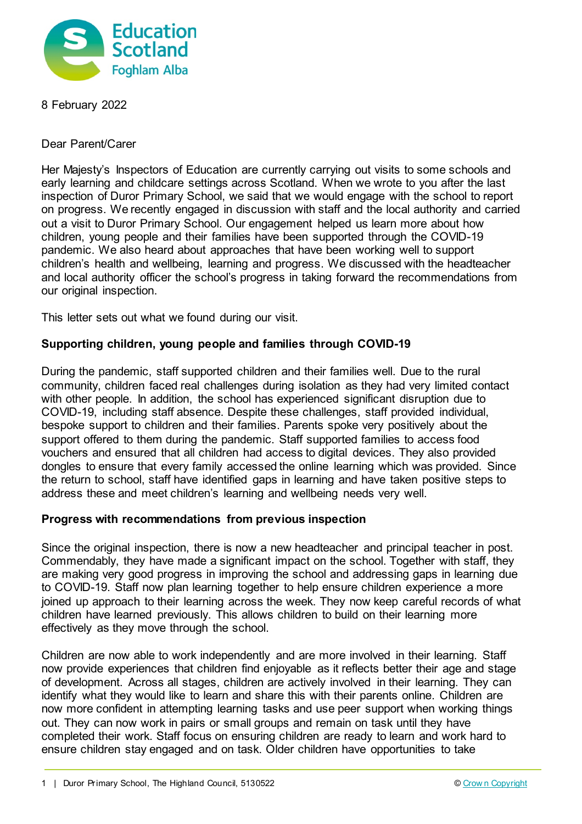

8 February 2022

Dear Parent/Carer

Her Majesty's Inspectors of Education are currently carrying out visits to some schools and early learning and childcare settings across Scotland. When we wrote to you after the last inspection of Duror Primary School, we said that we would engage with the school to report on progress. We recently engaged in discussion with staff and the local authority and carried out a visit to Duror Primary School. Our engagement helped us learn more about how children, young people and their families have been supported through the COVID-19 pandemic. We also heard about approaches that have been working well to support children's health and wellbeing, learning and progress. We discussed with the headteacher and local authority officer the school's progress in taking forward the recommendations from our original inspection.

This letter sets out what we found during our visit.

## **Supporting children, young people and families through COVID-19**

During the pandemic, staff supported children and their families well. Due to the rural community, children faced real challenges during isolation as they had very limited contact with other people. In addition, the school has experienced significant disruption due to COVID-19, including staff absence. Despite these challenges, staff provided individual, bespoke support to children and their families. Parents spoke very positively about the support offered to them during the pandemic. Staff supported families to access food vouchers and ensured that all children had access to digital devices. They also provided dongles to ensure that every family accessed the online learning which was provided. Since the return to school, staff have identified gaps in learning and have taken positive steps to address these and meet children's learning and wellbeing needs very well.

## **Progress with recommendations from previous inspection**

Since the original inspection, there is now a new headteacher and principal teacher in post. Commendably, they have made a significant impact on the school. Together with staff, they are making very good progress in improving the school and addressing gaps in learning due to COVID-19. Staff now plan learning together to help ensure children experience a more joined up approach to their learning across the week. They now keep careful records of what children have learned previously. This allows children to build on their learning more effectively as they move through the school.

Children are now able to work independently and are more involved in their learning. Staff now provide experiences that children find enjoyable as it reflects better their age and stage of development. Across all stages, children are actively involved in their learning. They can identify what they would like to learn and share this with their parents online. Children are now more confident in attempting learning tasks and use peer support when working things out. They can now work in pairs or small groups and remain on task until they have completed their work. Staff focus on ensuring children are ready to learn and work hard to ensure children stay engaged and on task. Older children have opportunities to take